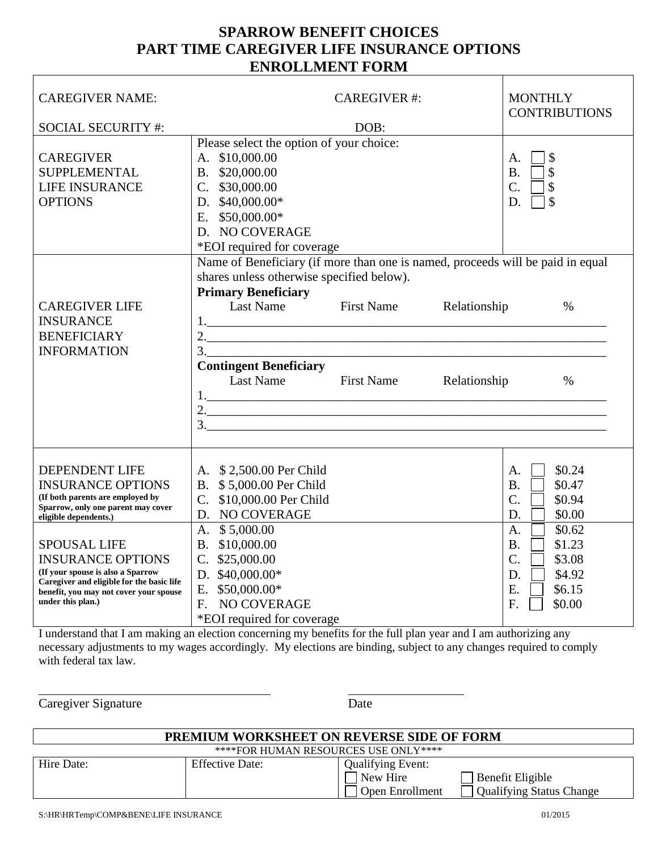## **SPARROW BENEFIT CHOICES PART TIME CAREGIVER LIFE INSURANCE OPTIONS ENROLLMENT FORM**

| <b>CAREGIVER NAME:</b>                                                                                                                                                                                                                                                                                                                                   |                                                                                                                                                                                                                                                                   | <b>CAREGIVER#:</b><br>DOB:             |                              | <b>MONTHLY</b><br><b>CONTRIBUTIONS</b>                                                                                                                                                   |
|----------------------------------------------------------------------------------------------------------------------------------------------------------------------------------------------------------------------------------------------------------------------------------------------------------------------------------------------------------|-------------------------------------------------------------------------------------------------------------------------------------------------------------------------------------------------------------------------------------------------------------------|----------------------------------------|------------------------------|------------------------------------------------------------------------------------------------------------------------------------------------------------------------------------------|
| <b>SOCIAL SECURITY #:</b>                                                                                                                                                                                                                                                                                                                                |                                                                                                                                                                                                                                                                   |                                        |                              |                                                                                                                                                                                          |
| <b>CAREGIVER</b><br><b>SUPPLEMENTAL</b><br><b>LIFE INSURANCE</b><br><b>OPTIONS</b>                                                                                                                                                                                                                                                                       | Please select the option of your choice:<br>A. \$10,000.00<br>B. \$20,000.00<br>C. \$30,000.00<br>D. $$40,000.00*$<br>E. $$50,000.00*$<br>D. NO COVERAGE<br>*EOI required for coverage                                                                            |                                        |                              | \$<br>А.<br>\$<br><b>B.</b><br>$\overline{C}$ .<br>\$<br>$\mathcal{S}$<br>D.                                                                                                             |
| <b>CAREGIVER LIFE</b><br><b>INSURANCE</b><br><b>BENEFICIARY</b><br><b>INFORMATION</b>                                                                                                                                                                                                                                                                    | Name of Beneficiary (if more than one is named, proceeds will be paid in equal<br>shares unless otherwise specified below).<br><b>Primary Beneficiary</b><br>Last Name<br>$\frac{1}{2}$ .<br>3.<br><b>Contingent Beneficiary</b><br>Last Name                     | <b>First Name</b><br><b>First Name</b> | Relationship<br>Relationship | $\%$<br>$\%$                                                                                                                                                                             |
| <b>DEPENDENT LIFE</b><br><b>INSURANCE OPTIONS</b><br>(If both parents are employed by<br>Sparrow, only one parent may cover<br>eligible dependents.)<br><b>SPOUSAL LIFE</b><br><b>INSURANCE OPTIONS</b><br>(If your spouse is also a Sparrow<br>Caregiver and eligible for the basic life<br>benefit, you may not cover your spouse<br>under this plan.) | A. \$2,500.00 Per Child<br>B. \$5,000.00 Per Child<br>C. \$10,000.00 Per Child<br>D. NO COVERAGE<br>A. \$5,000.00<br>B. \$10,000.00<br>$C.$ \$25,000.00<br>D. $$40,000.00*$<br>$$50,000.00*$<br>E.<br>NO COVERAGE<br>F <sub>r</sub><br>*EOI required for coverage |                                        |                              | \$0.24<br>Α.<br>\$0.47<br><b>B.</b><br>C.<br>\$0.94<br>\$0.00<br>D.<br>\$0.62<br>A.<br>\$1.23<br><b>B.</b><br>$\overline{C}$ .<br>\$3.08<br>\$4.92<br>D.<br>E.<br>\$6.15<br>F.<br>\$0.00 |

I understand that I am making an election concerning my benefits for the full plan year and I am authorizing any necessary adjustments to my wages accordingly. My elections are binding, subject to any changes required to comply with federal tax law.

Caregiver Signature Date

 $\overline{a}$ 

| PREMIUM WORKSHEET ON REVERSE SIDE OF FORM |                        |                                                         |                                                     |  |  |  |  |  |
|-------------------------------------------|------------------------|---------------------------------------------------------|-----------------------------------------------------|--|--|--|--|--|
| ****FOR HUMAN RESOURCES USE ONLY****      |                        |                                                         |                                                     |  |  |  |  |  |
| Hire Date:                                | <b>Effective Date:</b> | <b>Qualifying Event:</b><br>New Hire<br>Open Enrollment | Benefit Eligible<br><b>Qualifying Status Change</b> |  |  |  |  |  |